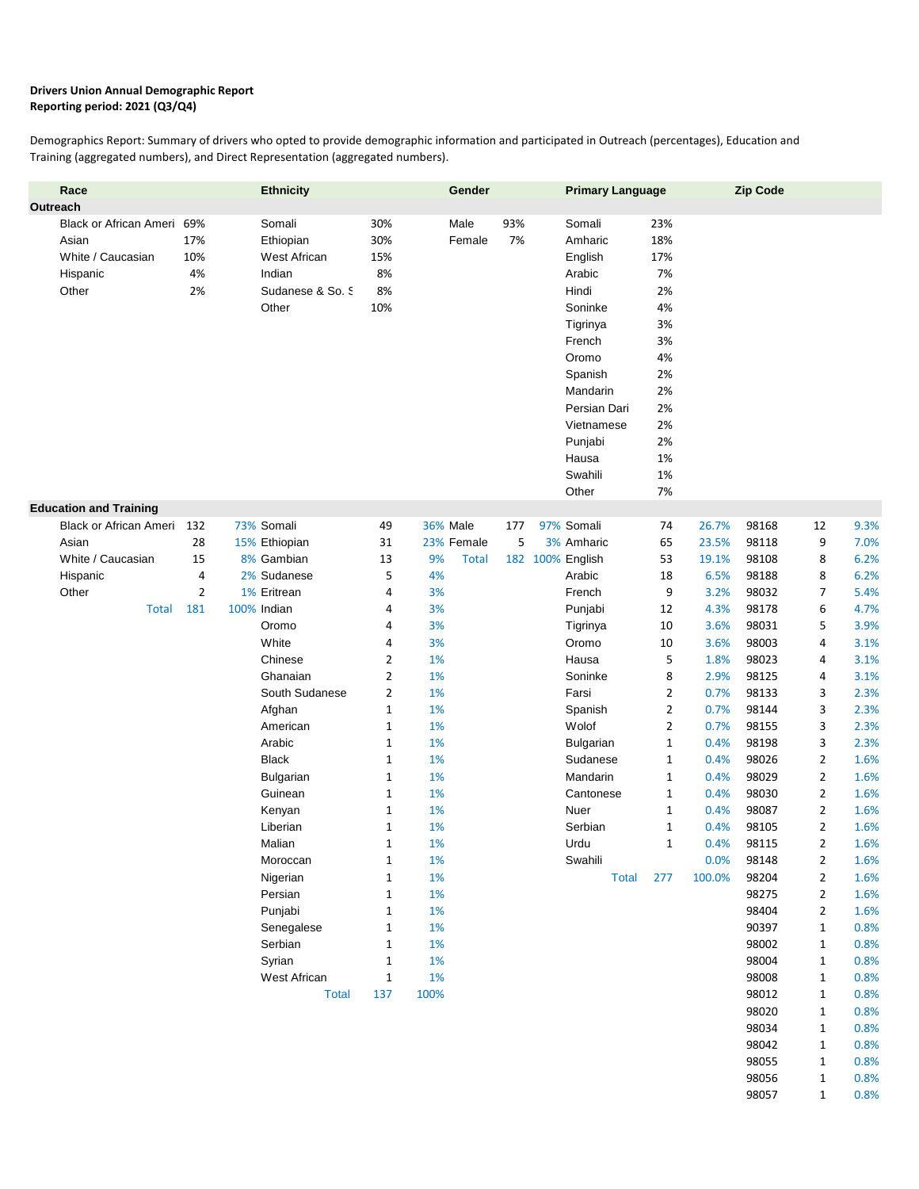## **Drivers Union Annual Demographic Report Reporting period: 2021 (Q3/Q4)**

Demographics Report: Summary of drivers who opted to provide demographic information and participated in Outreach (percentages), Education and Training (aggregated numbers), and Direct Representation (aggregated numbers).

| Race<br>Outreach                                                          |                                        | <b>Ethnicity</b>                                                                                                                                                                                                                                                                                               |                                                                                                                                                                                                                                                                                                   | Gender                                                                                                                                                                           |           | <b>Primary Language</b>                                                                                                                                                                                                                     |                                                                                                                                                                                                                   |                                                                                                                                                                          | <b>Zip Code</b>                                                                                                                                                                                                      |                                                                                                                                                                                                                                                                   |                                                                                                                                                                                              |
|---------------------------------------------------------------------------|----------------------------------------|----------------------------------------------------------------------------------------------------------------------------------------------------------------------------------------------------------------------------------------------------------------------------------------------------------------|---------------------------------------------------------------------------------------------------------------------------------------------------------------------------------------------------------------------------------------------------------------------------------------------------|----------------------------------------------------------------------------------------------------------------------------------------------------------------------------------|-----------|---------------------------------------------------------------------------------------------------------------------------------------------------------------------------------------------------------------------------------------------|-------------------------------------------------------------------------------------------------------------------------------------------------------------------------------------------------------------------|--------------------------------------------------------------------------------------------------------------------------------------------------------------------------|----------------------------------------------------------------------------------------------------------------------------------------------------------------------------------------------------------------------|-------------------------------------------------------------------------------------------------------------------------------------------------------------------------------------------------------------------------------------------------------------------|----------------------------------------------------------------------------------------------------------------------------------------------------------------------------------------------|
| Black or African Ameri<br>Asian<br>White / Caucasian<br>Hispanic<br>Other | 69%<br>17%<br>10%<br>4%<br>2%          | Somali<br>Ethiopian<br>West African<br>Indian<br>Sudanese & So. S<br>Other                                                                                                                                                                                                                                     | 30%<br>30%<br>15%<br>8%<br>8%<br>10%                                                                                                                                                                                                                                                              | Male<br>Female                                                                                                                                                                   | 93%<br>7% | Somali<br>Amharic<br>English<br>Arabic<br>Hindi<br>Soninke<br>Tigrinya<br>French<br>Oromo<br>Spanish<br>Mandarin<br>Persian Dari<br>Vietnamese<br>Punjabi<br>Hausa<br>Swahili<br>Other                                                      | 23%<br>18%<br>17%<br>7%<br>2%<br>4%<br>3%<br>3%<br>4%<br>2%<br>2%<br>2%<br>2%<br>2%<br>1%<br>1%<br>7%                                                                                                             |                                                                                                                                                                          |                                                                                                                                                                                                                      |                                                                                                                                                                                                                                                                   |                                                                                                                                                                                              |
| <b>Education and Training</b>                                             |                                        |                                                                                                                                                                                                                                                                                                                |                                                                                                                                                                                                                                                                                                   |                                                                                                                                                                                  |           |                                                                                                                                                                                                                                             |                                                                                                                                                                                                                   |                                                                                                                                                                          |                                                                                                                                                                                                                      |                                                                                                                                                                                                                                                                   |                                                                                                                                                                                              |
| White / Caucasian<br>Hispanic<br>Other<br><b>Total</b>                    | 28<br>15<br>4<br>$\overline{2}$<br>181 | 15% Ethiopian<br>8% Gambian<br>2% Sudanese<br>1% Eritrean<br>100% Indian<br>Oromo<br>White<br>Chinese<br>Ghanaian<br>South Sudanese<br>Afghan<br>American<br>Arabic<br><b>Black</b><br><b>Bulgarian</b><br>Guinean<br>Kenyan<br>Liberian<br>Malian<br>Moroccan<br>Nigerian<br>Persian<br>Punjabi<br>Senegalese | 31<br>13<br>5<br>4<br>4<br>4<br>4<br>$\overline{2}$<br>$\overline{2}$<br>$\overline{2}$<br>$\mathbf 1$<br>$\mathbf 1$<br>$\mathbf 1$<br>$\mathbf 1$<br>$\mathbf{1}$<br>$\mathbf 1$<br>$\mathbf 1$<br>$\mathbf 1$<br>1<br>$\mathbf{1}$<br>$\mathbf 1$<br>$\mathbf 1$<br>$\mathbf 1$<br>$\mathbf 1$ | 23% Female<br>9%<br><b>Total</b><br>4%<br>3%<br>3%<br>3%<br>3%<br>1%<br>1%<br>1%<br>1%<br>1%<br>1%<br>1%<br>1%<br>1%<br>1%<br>1%<br>$1\%$<br>$1\%$<br>$1\%$<br>1%<br>$1\%$<br>1% |           | 3% Amharic<br>182 100% English<br>Arabic<br>French<br>Punjabi<br>Tigrinya<br>Oromo<br>Hausa<br>Soninke<br>Farsi<br>Spanish<br>Wolof<br>Bulgarian<br>Sudanese<br>Mandarin<br>Cantonese<br>Nuer<br>Serbian<br>Urdu<br>Swahili<br><b>Total</b> | 65<br>53<br>18<br>9<br>12<br>10<br>10<br>5<br>8<br>$\overline{2}$<br>$\overline{2}$<br>$\overline{2}$<br>$\mathbf{1}$<br>$\mathbf{1}$<br>$\mathbf{1}$<br>$\mathbf{1}$<br>$\mathbf{1}$<br>$\mathbf{1}$<br>1<br>277 | 23.5%<br>19.1%<br>6.5%<br>3.2%<br>4.3%<br>3.6%<br>3.6%<br>1.8%<br>2.9%<br>0.7%<br>0.7%<br>0.7%<br>0.4%<br>0.4%<br>0.4%<br>0.4%<br>0.4%<br>0.4%<br>0.4%<br>0.0%<br>100.0% | 98118<br>98108<br>98188<br>98032<br>98178<br>98031<br>98003<br>98023<br>98125<br>98133<br>98144<br>98155<br>98198<br>98026<br>98029<br>98030<br>98087<br>98105<br>98115<br>98148<br>98204<br>98275<br>98404<br>90397 | 9<br>8<br>8<br>$\overline{7}$<br>6<br>5<br>4<br>4<br>4<br>3<br>3<br>3<br>3<br>$\overline{2}$<br>$\overline{2}$<br>$\overline{2}$<br>$\overline{2}$<br>$\overline{2}$<br>2<br>$\overline{2}$<br>$\overline{2}$<br>$\overline{2}$<br>$\overline{2}$<br>$\mathbf{1}$ | 7.0%<br>6.2%<br>6.2%<br>5.4%<br>4.7%<br>3.9%<br>3.1%<br>3.1%<br>3.1%<br>2.3%<br>2.3%<br>2.3%<br>2.3%<br>1.6%<br>1.6%<br>1.6%<br>1.6%<br>1.6%<br>1.6%<br>1.6%<br>1.6%<br>1.6%<br>1.6%<br>0.8% |
|                                                                           |                                        | Serbian<br>Syrian<br>West African<br><b>Total</b>                                                                                                                                                                                                                                                              | $\mathbf 1$<br>1<br>$\mathbf{1}$<br>137                                                                                                                                                                                                                                                           | $1\%$<br>1%<br>$1\%$<br>100%                                                                                                                                                     |           |                                                                                                                                                                                                                                             |                                                                                                                                                                                                                   |                                                                                                                                                                          | 98002<br>98004<br>98008<br>98012<br>98020<br>98034<br>98042<br>98055<br>98056<br>98057                                                                                                                               | $\mathbf{1}$<br>$\mathbf{1}$<br>$\mathbf{1}$<br>1<br>$\mathbf{1}$<br>$\mathbf{1}$<br>$\mathbf{1}$<br>$\mathbf{1}$<br>1<br>$\mathbf{1}$                                                                                                                            | 0.8%<br>0.8%<br>0.8%<br>0.8%<br>0.8%<br>0.8%<br>0.8%<br>0.8%<br>0.8%<br>0.8%                                                                                                                 |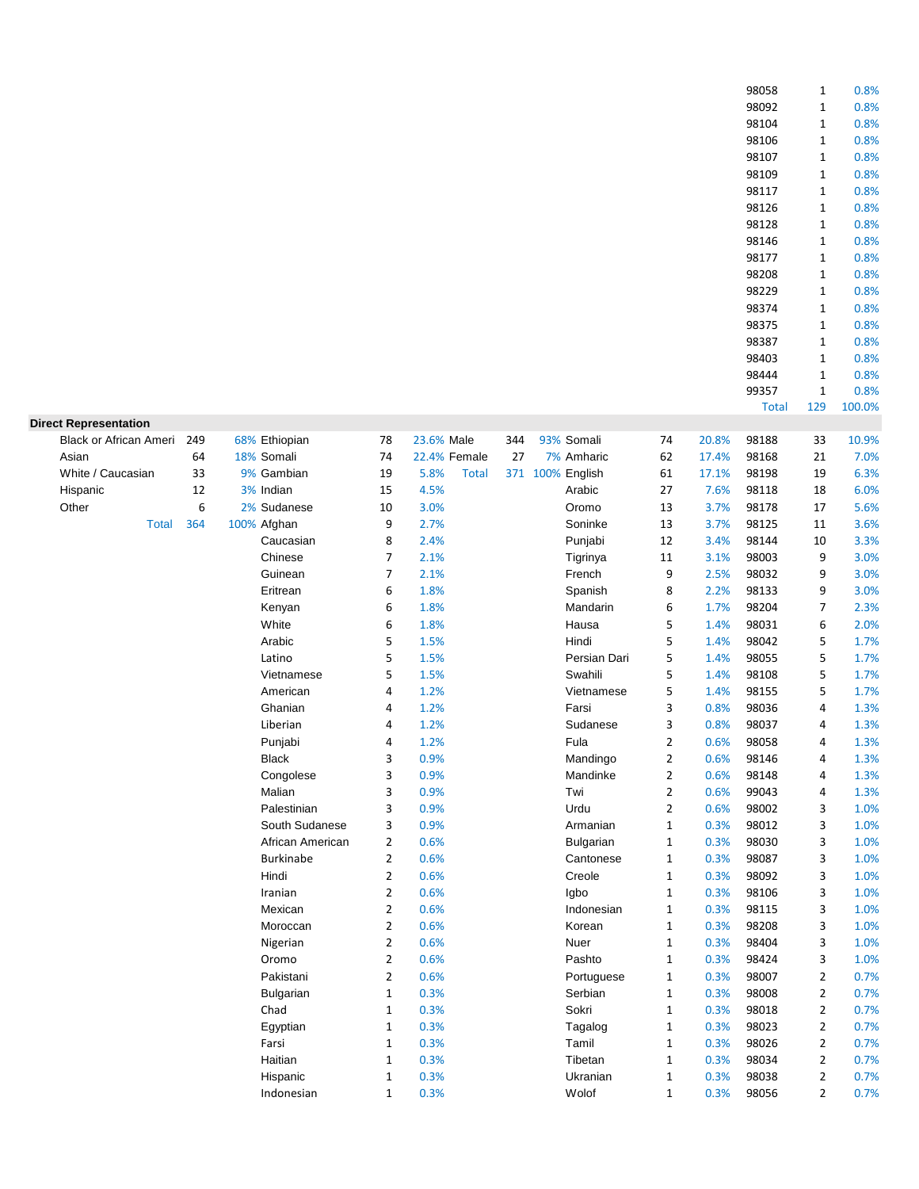| 98058  | 1    | 0.8%     |
|--------|------|----------|
| 98092  | 1    | 0.8%     |
| 98104  | 1    | 0.8%     |
| 98106  | 1    | 0.8%     |
| 98107  | 1    | 0.8%     |
| 98109  | 1    | 0.8%     |
| 98117  | 1    | 0.8%     |
| 98126  | 1    | 0.8%     |
| 98128  | 1    | 0.8%     |
| 98146  | 1    | 0.8%     |
| 98177  | 1    | 0.8%     |
| 98208  | 1    | 0.8%     |
| 98229  | 1    | 0.8%     |
| 98374  | 1    | 0.8%     |
| 98375  | 1    | 0.8%     |
| 98387  | 1    | 0.8%     |
| 98403  | 1    | 0.8%     |
| 98444  | 1    | 0.8%     |
| 99357  | 1    | $0.8\%$  |
| $T0+0$ | 1 ገቢ | 1 በበ በ0/ |

|                               |     |                  |                |                      |                  |                  |                |       | <b>Total</b> | 129            | 100.0% |
|-------------------------------|-----|------------------|----------------|----------------------|------------------|------------------|----------------|-------|--------------|----------------|--------|
| <b>Direct Representation</b>  |     |                  |                |                      |                  |                  |                |       |              |                |        |
| <b>Black or African Ameri</b> | 249 | 68% Ethiopian    | 78             | 23.6% Male           | 344              | 93% Somali       | 74             | 20.8% | 98188        | 33             | 10.9%  |
| Asian                         | 64  | 18% Somali       | 74             | 22.4% Female         | 27               | 7% Amharic       | 62             | 17.4% | 98168        | 21             | 7.0%   |
| White / Caucasian             | 33  | 9% Gambian       | 19             | 5.8%<br><b>Total</b> | 371 100% English |                  | 61             | 17.1% | 98198        | 19             | 6.3%   |
| Hispanic                      | 12  | 3% Indian        | 15             | 4.5%                 |                  | Arabic           | 27             | 7.6%  | 98118        | 18             | 6.0%   |
| Other                         | 6   | 2% Sudanese      | 10             | 3.0%                 |                  | Oromo            | 13             | 3.7%  | 98178        | 17             | 5.6%   |
| <b>Total</b>                  | 364 | 100% Afghan      | 9              | 2.7%                 |                  | Soninke          | 13             | 3.7%  | 98125        | 11             | 3.6%   |
|                               |     | Caucasian        | 8              | 2.4%                 |                  | Punjabi          | 12             | 3.4%  | 98144        | 10             | 3.3%   |
|                               |     | Chinese          | $\overline{7}$ | 2.1%                 |                  | Tigrinya         | 11             | 3.1%  | 98003        | 9              | 3.0%   |
|                               |     | Guinean          | 7              | 2.1%                 |                  | French           | 9              | 2.5%  | 98032        | 9              | 3.0%   |
|                               |     | Eritrean         | 6              | 1.8%                 |                  | Spanish          | 8              | 2.2%  | 98133        | 9              | 3.0%   |
|                               |     | Kenyan           | 6              | 1.8%                 |                  | Mandarin         | 6              | 1.7%  | 98204        | 7              | 2.3%   |
|                               |     | White            | 6              | 1.8%                 |                  | Hausa            | 5              | 1.4%  | 98031        | 6              | 2.0%   |
|                               |     | Arabic           | 5              | 1.5%                 |                  | Hindi            | 5              | 1.4%  | 98042        | 5              | 1.7%   |
|                               |     | Latino           | 5              | 1.5%                 |                  | Persian Dari     | 5              | 1.4%  | 98055        | 5              | 1.7%   |
|                               |     | Vietnamese       | 5              | 1.5%                 |                  | Swahili          | 5              | 1.4%  | 98108        | 5              | 1.7%   |
|                               |     | American         | 4              | 1.2%                 |                  | Vietnamese       | 5              | 1.4%  | 98155        | 5              | 1.7%   |
|                               |     | Ghanian          | 4              | 1.2%                 |                  | Farsi            | 3              | 0.8%  | 98036        | 4              | 1.3%   |
|                               |     | Liberian         | 4              | 1.2%                 |                  | Sudanese         | 3              | 0.8%  | 98037        | 4              | 1.3%   |
|                               |     | Punjabi          | 4              | 1.2%                 |                  | Fula             | $\overline{2}$ | 0.6%  | 98058        | 4              | 1.3%   |
|                               |     | <b>Black</b>     | 3              | 0.9%                 |                  | Mandingo         | $\overline{2}$ | 0.6%  | 98146        | 4              | 1.3%   |
|                               |     | Congolese        | 3              | 0.9%                 |                  | Mandinke         | $\overline{2}$ | 0.6%  | 98148        | 4              | 1.3%   |
|                               |     | Malian           | 3              | 0.9%                 |                  | Twi              | $\overline{2}$ | 0.6%  | 99043        | 4              | 1.3%   |
|                               |     | Palestinian      | 3              | 0.9%                 |                  | Urdu             | $\overline{2}$ | 0.6%  | 98002        | 3              | 1.0%   |
|                               |     | South Sudanese   | 3              | 0.9%                 |                  | Armanian         | $\mathbf{1}$   | 0.3%  | 98012        | 3              | 1.0%   |
|                               |     | African American | $\overline{2}$ | 0.6%                 |                  | <b>Bulgarian</b> | $\mathbf{1}$   | 0.3%  | 98030        | 3              | 1.0%   |
|                               |     | <b>Burkinabe</b> | $\overline{2}$ | 0.6%                 |                  | Cantonese        | $\mathbf 1$    | 0.3%  | 98087        | 3              | 1.0%   |
|                               |     | Hindi            | $\overline{2}$ | 0.6%                 |                  | Creole           | $\mathbf{1}$   | 0.3%  | 98092        | 3              | 1.0%   |
|                               |     | Iranian          | $\overline{2}$ | 0.6%                 |                  | lgbo             | $\mathbf{1}$   | 0.3%  | 98106        | 3              | 1.0%   |
|                               |     | Mexican          | $\overline{2}$ | 0.6%                 |                  | Indonesian       | $\mathbf{1}$   | 0.3%  | 98115        | 3              | 1.0%   |
|                               |     | Moroccan         | $\overline{2}$ | 0.6%                 |                  | Korean           | $\mathbf{1}$   | 0.3%  | 98208        | 3              | 1.0%   |
|                               |     | Nigerian         | $\overline{2}$ | 0.6%                 |                  | Nuer             | $\mathbf{1}$   | 0.3%  | 98404        | 3              | 1.0%   |
|                               |     | Oromo            | $\overline{2}$ | 0.6%                 |                  | Pashto           | $1\,$          | 0.3%  | 98424        | 3              | 1.0%   |
|                               |     | Pakistani        | $\overline{2}$ | 0.6%                 |                  | Portuguese       | $\mathbf{1}$   | 0.3%  | 98007        | 2              | 0.7%   |
|                               |     | <b>Bulgarian</b> | 1              | 0.3%                 |                  | Serbian          | $\mathbf{1}$   | 0.3%  | 98008        | 2              | 0.7%   |
|                               |     | Chad             | 1              | 0.3%                 |                  | Sokri            | $\mathbf{1}$   | 0.3%  | 98018        | 2              | 0.7%   |
|                               |     | Egyptian         | $\mathbf{1}$   | 0.3%                 |                  | Tagalog          | $\mathbf{1}$   | 0.3%  | 98023        | 2              | 0.7%   |
|                               |     | Farsi            | $\mathbf{1}$   | 0.3%                 |                  | Tamil            | $\mathbf{1}$   | 0.3%  | 98026        | $\overline{2}$ | 0.7%   |

Haitian 1 0.3% Tibetan 1 0.3% 98034 2 0.7% Hispanic 1 0.3% Ukranian 1 0.3% 98038 2 0.7% Indonesian 1 0.3% Wolof 1 0.3% 98056 2 0.7%